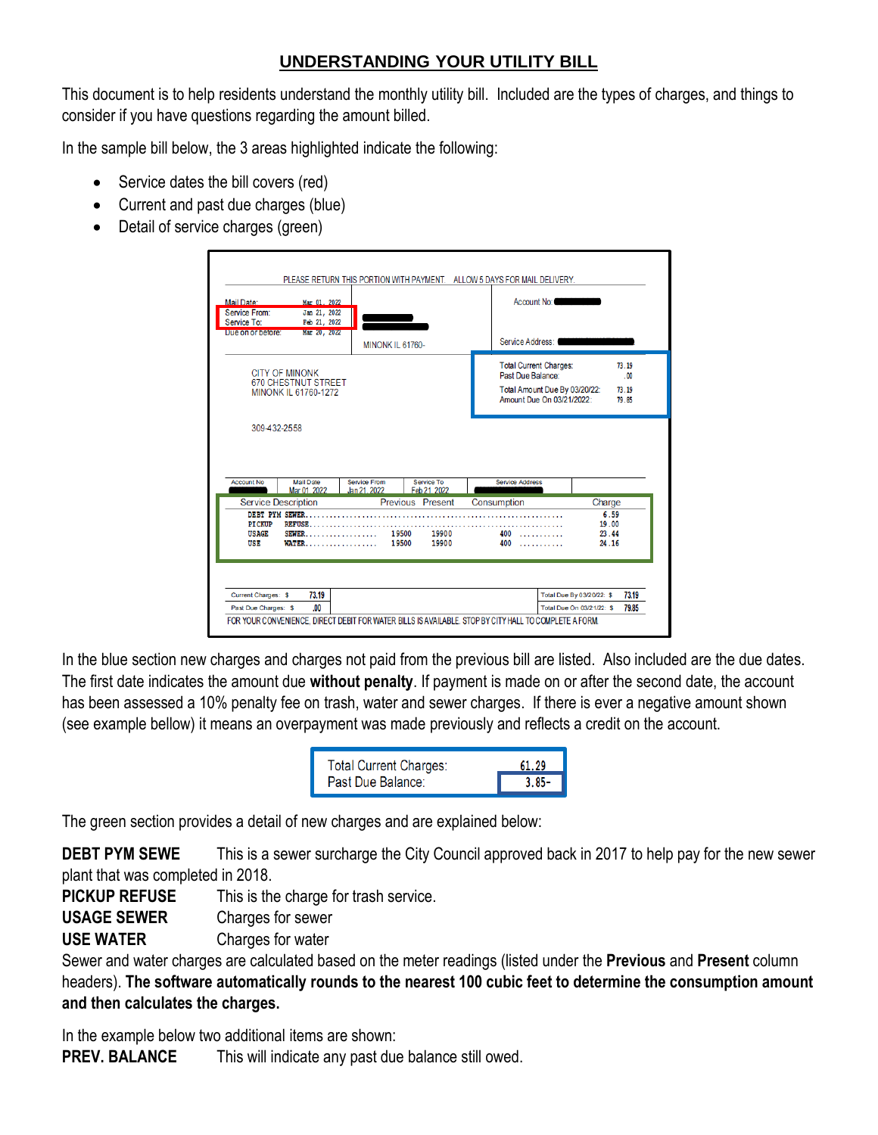## **UNDERSTANDING YOUR UTILITY BILL**

This document is to help residents understand the monthly utility bill. Included are the types of charges, and things to consider if you have questions regarding the amount billed.

In the sample bill below, the 3 areas highlighted indicate the following:

- Service dates the bill covers (red)
- Current and past due charges (blue)
- Detail of service charges (green)

| Mail Date:<br>Service From:      | Mar 01. 2022<br>Jan 21, 2022                        |                              |                            | Account No:                                                                  |                           |              |
|----------------------------------|-----------------------------------------------------|------------------------------|----------------------------|------------------------------------------------------------------------------|---------------------------|--------------|
| Service To:<br>Due on or before: | Feb 21, 2022<br>Mar 20, 2022                        |                              |                            |                                                                              |                           |              |
|                                  |                                                     | MINONK IL 61760-             |                            | Service Address:                                                             |                           |              |
|                                  | <b>CITY OF MINONK</b><br><b>670 CHESTNUT STREET</b> |                              |                            | <b>Total Current Charges:</b><br>Past Due Balance:                           |                           | 73.19<br>.00 |
|                                  | MINONK IL 61760-1272                                |                              |                            | Total Amount Due By 03/20/22:<br>73.19<br>Amount Due On 03/21/2022:<br>79.85 |                           |              |
|                                  |                                                     |                              |                            |                                                                              |                           |              |
|                                  | 309-432-2558                                        |                              |                            |                                                                              |                           |              |
|                                  |                                                     |                              |                            |                                                                              |                           |              |
|                                  |                                                     |                              |                            |                                                                              |                           |              |
| <b>Account No</b>                | <b>Mail Date</b><br>Mar 01, 2022                    | Service From<br>Jan 21, 2022 | Service To<br>Feb 21, 2022 | <b>Service Address</b>                                                       |                           |              |
|                                  | <b>Service Description</b>                          |                              | Previous Present           | Consumption                                                                  | Charge                    |              |
|                                  | DEBT PYM SEWER                                      |                              | .                          |                                                                              | 6.59                      |              |
| <b>PT CKUP</b><br><b>USAGE</b>   | <b>REFUSE</b><br><b>SEWER</b>                       |                              | 19900<br>19500             | 400                                                                          | 19.00<br>23.44            |              |
| USE                              | <b>WATER</b>                                        |                              | 19500<br>19900             | 400                                                                          | 24.16                     |              |
|                                  |                                                     |                              |                            |                                                                              |                           |              |
| Current Charges: \$              | 73.19                                               |                              |                            |                                                                              | Total Due By 03/20/22: \$ | 73.19        |

In the blue section new charges and charges not paid from the previous bill are listed. Also included are the due dates. The first date indicates the amount due **without penalty**. If payment is made on or after the second date, the account has been assessed a 10% penalty fee on trash, water and sewer charges. If there is ever a negative amount shown (see example bellow) it means an overpayment was made previously and reflects a credit on the account.

| Total Current Charges: |          |
|------------------------|----------|
| Past Due Balance:      | $3.85 -$ |

The green section provides a detail of new charges and are explained below:

**DEBT PYM SEWE** This is a sewer surcharge the City Council approved back in 2017 to help pay for the new sewer plant that was completed in 2018.

**PICKUP REFUSE** This is the charge for trash service.

**USAGE SEWER** Charges for sewer

**USE WATER** Charges for water

Sewer and water charges are calculated based on the meter readings (listed under the **Previous** and **Present** column headers). **The software automatically rounds to the nearest 100 cubic feet to determine the consumption amount and then calculates the charges.**

In the example below two additional items are shown:

**PREV. BALANCE** This will indicate any past due balance still owed.